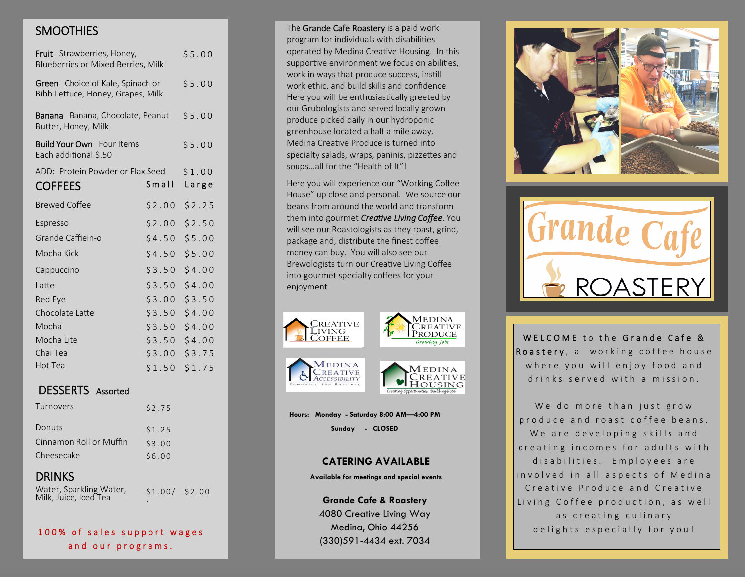## **SMOOTHIES**

| Fruit Strawberries, Honey,<br>Blueberries or Mixed Berries, Milk             |        | \$5.00 |
|------------------------------------------------------------------------------|--------|--------|
| <b>Green</b> Choice of Kale, Spinach or<br>Bibb Lettuce, Honey, Grapes, Milk |        | \$5.00 |
| <b>Banana</b> Banana, Chocolate, Peanut<br>Butter, Honey, Milk               |        | \$5.00 |
| <b>Build Your Own</b> Four Items<br>Each additional \$.50                    |        | \$5.00 |
| ADD: Protein Powder or Flax Seed                                             |        | \$1.00 |
| <b>COFFEES</b>                                                               | Small  | Large  |
| <b>Brewed Coffee</b>                                                         | \$2.00 | \$2.25 |
| Espresso                                                                     | \$2.00 | \$2.50 |
| Grande Caffiein-o                                                            | \$4.50 | \$5.00 |
| Mocha Kick                                                                   | \$4.50 | \$5.00 |
| Cappuccino                                                                   | \$3.50 | \$4.00 |
| Latte                                                                        | \$3.50 | \$4.00 |
| Red Eye                                                                      | \$3.00 | \$3.50 |
| Chocolate Latte                                                              | \$3.50 | \$4.00 |
| Mocha                                                                        | \$3.50 | \$4.00 |
| Mocha Lite                                                                   | \$3.50 | \$4.00 |
| Chai Tea                                                                     | \$3.00 | \$3.75 |
| Hot Tea                                                                      | \$1.50 | \$1.75 |

### **DESSERTS** Assorted

| Turnovers               | \$2.75 |
|-------------------------|--------|
| Donuts                  | \$1.25 |
| Cinnamon Roll or Muffin | \$3.00 |
| Cheesecake              | \$6.00 |
|                         |        |

## **DRINKS**

Water, Sparkling Water, Milk, Juice, Iced Tea

 $$1.00/$  \$2.00

### 100% of sales support wages and our programs.

The Grande Cafe Roastery is a paid work program for individuals with disabilities operated by Medina Creative Housing. In this supportive environment we focus on abilities, work in ways that produce success, instill work ethic, and build skills and confidence. Here you will be enthusiastically greeted by our Grubologists and served locally grown produce picked daily in our hydroponic greenhouse located a half a mile away. Medina Creative Produce is turned into specialty salads, wraps, paninis, pizzettes and soups...all for the "Health of It"!

Here you will experience our "Working Coffee House" up close and personal. We source our beans from around the world and transform them into gourmet Creative Living Coffee. You will see our Roastologists as they roast, grind, package and, distribute the finest coffee money can buy. You will also see our Brewologists turn our Creative Living Coffee into gourmet specialty coffees for your enjoyment.



**CREATIVE** 

ACCESSIBILITY





Hours: Monday - Saturday 8:00 AM-4:00 PM

Sunday - CLOSED

### **CATERING AVAILABLE**

Available for meetings and special events

**Grande Cafe & Roastery** 4080 Creative Living Way Medina, Ohio 44256 (330)591-4434 ext. 7034





WELCOME to the Grande Cafe & Roastery, a working coffee house where you will enjoy food and drinks served with a mission

We do more than just grow produce and roast coffee beans. We are developing skills and creating incomes for adults with disabilities. Employees are involved in all aspects of Medina Creative Produce and Creative Living Coffee production, as well as creating culinary delights especially for you!